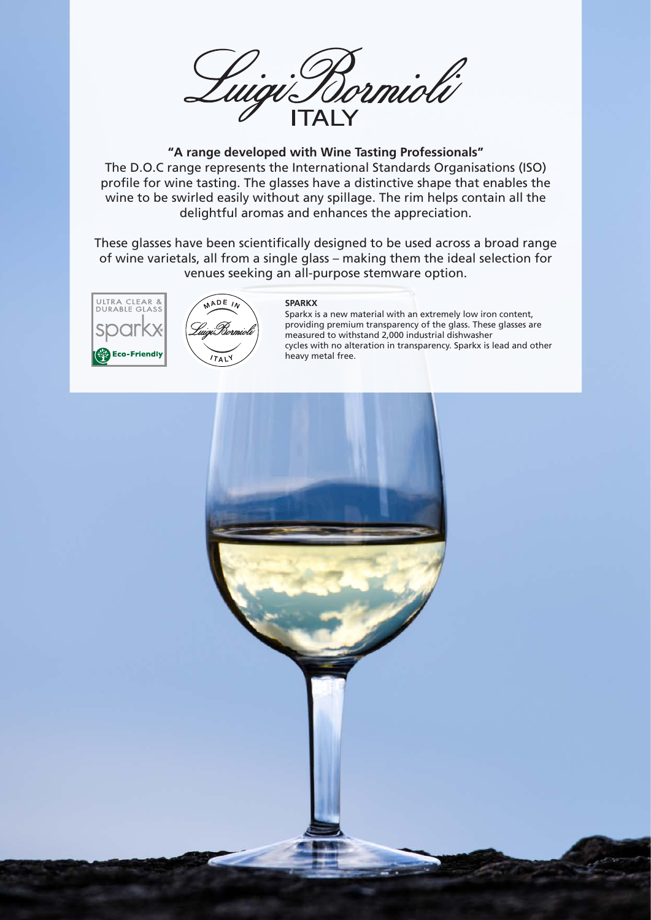

## **"A range developed with Wine Tasting Professionals"**

The D.O.C range represents the International Standards Organisations (ISO) profile for wine tasting. The glasses have a distinctive shape that enables the wine to be swirled easily without any spillage. The rim helps contain all the delightful aromas and enhances the appreciation.

These glasses have been scientifically designed to be used across a broad range of wine varietals, all from a single glass – making them the ideal selection for venues seeking an all-purpose stemware option.

**SPARKX**





## Sparkx is a new material with an extremely low iron content, providing premium transparency of the glass. These glasses are measured to withstand 2,000 industrial dishwasher cycles with no alteration in transparency. Sparkx is lead and other heavy metal free.